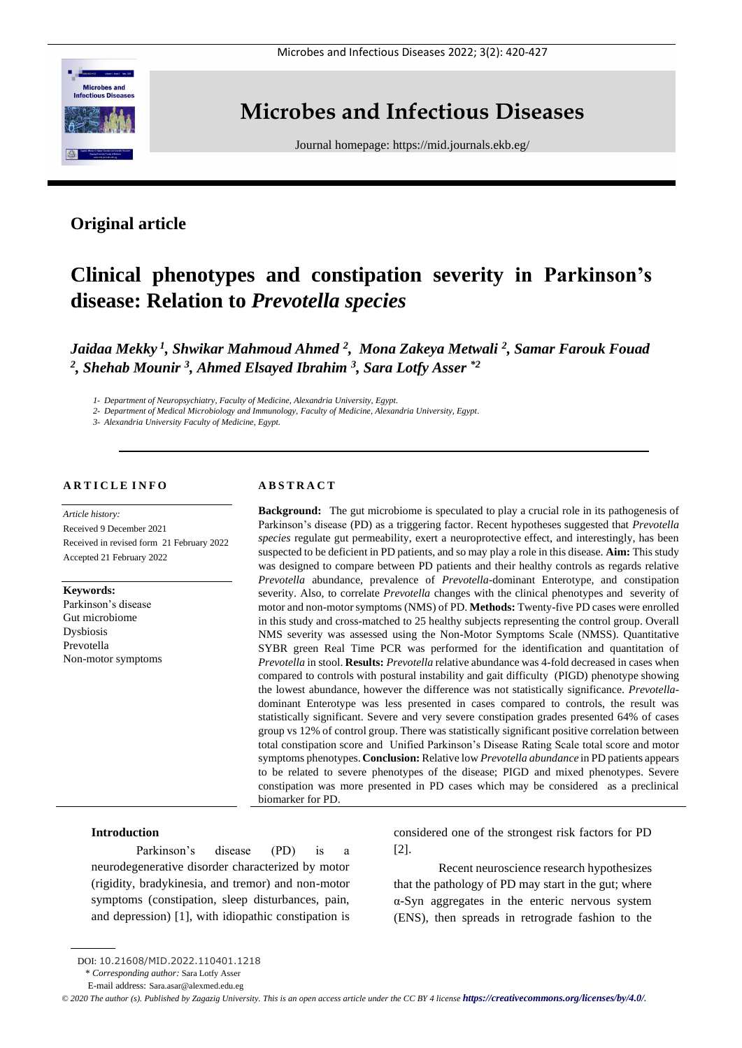

# **Microbes and Infectious Diseases**

Journal homepage:<https://mid.journals.ekb.eg/>

# **Original article**

# **Clinical phenotypes and constipation severity in Parkinson's disease: Relation to** *Prevotella species*

*Jaidaa Mekky <sup>1</sup> , Shwikar Mahmoud Ahmed <sup>2</sup> , Mona Zakeya Metwali <sup>2</sup> , Samar Farouk Fouad 2 , Shehab Mounir <sup>3</sup> , Ahmed Elsayed Ibrahim <sup>3</sup> , Sara Lotfy Asser \*2*

*1- Department of Neuropsychiatry, Faculty of Medicine, Alexandria University, Egypt.*

*2- Department of Medical Microbiology and Immunology, Faculty of Medicine, Alexandria University, Egypt.*

*3- Alexandria University Faculty of Medicine, Egypt.*

#### **A R T I C L E I N F O**

*Article history:*  Received 9 December 2021 Received in revised form 21 February 2022 Accepted 21 February 2022

**Keywords:** Parkinson's disease Gut microbiome Dysbiosis Prevotella Non-motor symptoms

#### **A B S T R A C T**

**Background:** The gut microbiome is speculated to play a crucial role in its pathogenesis of Parkinson's disease (PD) as a triggering factor. Recent hypotheses suggested that *Prevotella species* regulate gut permeability, exert a neuroprotective effect, and interestingly, has been suspected to be deficient in PD patients, and so may play a role in this disease. **Aim:** This study was designed to compare between PD patients and their healthy controls as regards relative *Prevotella* abundance, prevalence of *Prevotella*-dominant Enterotype, and constipation severity. Also, to correlate *Prevotella* changes with the clinical phenotypes and severity of motor and non-motor symptoms (NMS) of PD. **Methods:** Twenty-five PD cases were enrolled in this study and cross-matched to 25 healthy subjects representing the control group. Overall NMS severity was assessed using the Non-Motor Symptoms Scale (NMSS). Quantitative SYBR green Real Time PCR was performed for the identification and quantitation of *Prevotella* in stool. **Results:** *Prevotella* relative abundance was 4-fold decreased in cases when compared to controls with postural instability and gait difficulty (PIGD) phenotype showing the lowest abundance, however the difference was not statistically significance. *Prevotella*dominant Enterotype was less presented in cases compared to controls, the result was statistically significant. Severe and very severe constipation grades presented 64% of cases group vs 12% of control group. There was statistically significant positive correlation between total constipation score and Unified Parkinson's Disease Rating Scale total score and motor symptoms phenotypes. **Conclusion:** Relative low *Prevotella abundance* in PD patients appears to be related to severe phenotypes of the disease; PIGD and mixed phenotypes. Severe constipation was more presented in PD cases which may be considered as a preclinical biomarker for PD.

#### **Introduction**

Parkinson's disease (PD) is a neurodegenerative disorder characterized by motor (rigidity, bradykinesia, and tremor) and non-motor symptoms (constipation, sleep disturbances, pain, and depression) [1], with idiopathic constipation is considered one of the strongest risk factors for PD [2].

Recent neuroscience research hypothesizes that the pathology of PD may start in the gut; where α-Syn aggregates in the enteric nervous system (ENS), then spreads in retrograde fashion to the

DOI: 10.21608/MID.2022.110401.1218

<sup>\*</sup> *Corresponding author:* Sara Lotfy Asser

E-mail address: Sara.asar@alexmed.edu.eg

*<sup>©</sup> 2020 The author (s). Published by Zagazig University. This is an open access article under the CC BY 4 license <https://creativecommons.org/licenses/by/4.0/>.*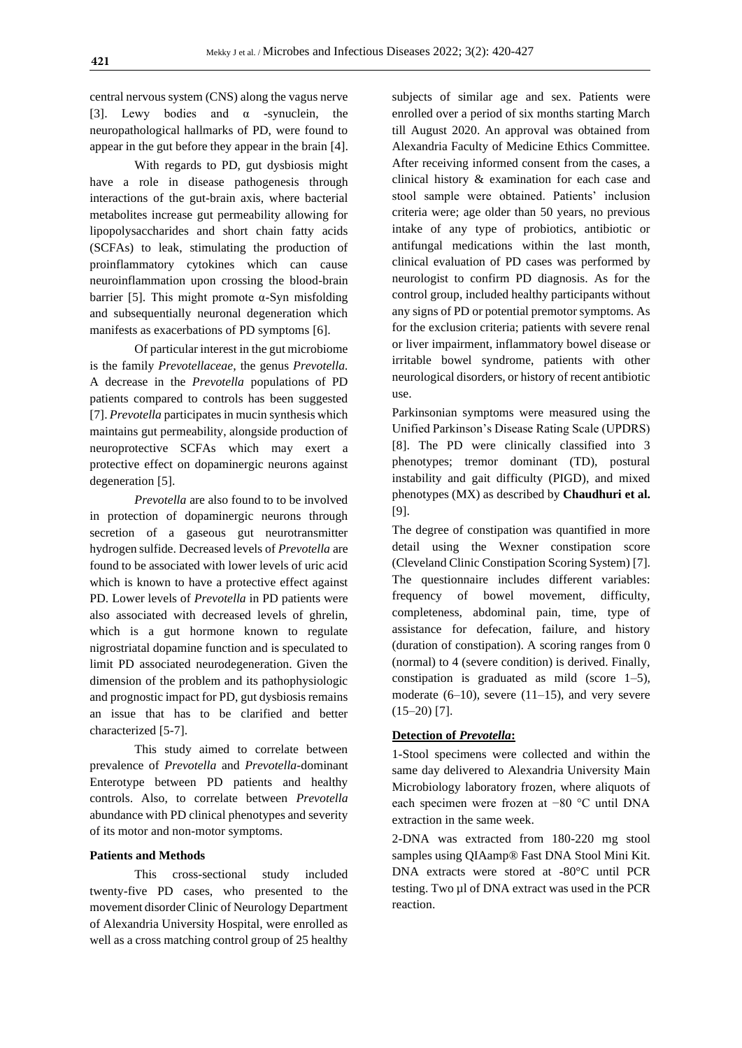central nervous system (CNS) along the vagus nerve [3]. Lewy bodies and  $\alpha$  -synuclein, the neuropathological hallmarks of PD, were found to appear in the gut before they appear in the brain [4].

With regards to PD, gut dysbiosis might have a role in disease pathogenesis through interactions of the gut-brain axis, where bacterial metabolites increase gut permeability allowing for lipopolysaccharides and short chain fatty acids (SCFAs) to leak, stimulating the production of proinflammatory cytokines which can cause neuroinflammation upon crossing the blood-brain barrier [5]. This might promote  $\alpha$ -Syn misfolding and subsequentially neuronal degeneration which manifests as exacerbations of PD symptoms [6].

Of particular interest in the gut microbiome is the family *Prevotellaceae*, the genus *Prevotella.*  A decrease in the *Prevotella* populations of PD patients compared to controls has been suggested [7]. *Prevotella* participates in mucin synthesis which maintains gut permeability, alongside production of neuroprotective SCFAs which may exert a protective effect on dopaminergic neurons against degeneration [5].

*Prevotella* are also found to to be involved in protection of dopaminergic neurons through secretion of a gaseous gut neurotransmitter hydrogen sulfide. Decreased levels of *Prevotella* are found to be associated with lower levels of uric acid which is known to have a protective effect against PD. Lower levels of *Prevotella* in PD patients were also associated with decreased levels of ghrelin, which is a gut hormone known to regulate nigrostriatal dopamine function and is speculated to limit PD associated neurodegeneration. Given the dimension of the problem and its pathophysiologic and prognostic impact for PD, gut dysbiosis remains an issue that has to be clarified and better characterized [5-7].

This study aimed to correlate between prevalence of *Prevotella* and *Prevotella-*dominant Enterotype between PD patients and healthy controls. Also, to correlate between *Prevotella* abundance with PD clinical phenotypes and severity of its motor and non-motor symptoms.

#### **Patients and Methods**

This cross-sectional study included twenty-five PD cases, who presented to the movement disorder Clinic of Neurology Department of Alexandria University Hospital, were enrolled as well as a cross matching control group of 25 healthy

subjects of similar age and sex. Patients were enrolled over a period of six months starting March till August 2020. An approval was obtained from Alexandria Faculty of Medicine Ethics Committee. After receiving informed consent from the cases, a clinical history & examination for each case and stool sample were obtained. Patients' inclusion criteria were; age older than 50 years, no previous intake of any type of probiotics, antibiotic or antifungal medications within the last month, clinical evaluation of PD cases was performed by neurologist to confirm PD diagnosis. As for the control group, included healthy participants without any signs of PD or potential premotor symptoms. As for the exclusion criteria; patients with severe renal or liver impairment, inflammatory bowel disease or irritable bowel syndrome, patients with other neurological disorders, or history of recent antibiotic use.

Parkinsonian symptoms were measured using the Unified Parkinson's Disease Rating Scale (UPDRS) [8]. The PD were clinically classified into 3 phenotypes; tremor dominant (TD), postural instability and gait difficulty (PIGD), and mixed phenotypes (MX) as described by **Chaudhuri et al.** [9].

The degree of constipation was quantified in more detail using the Wexner constipation score (Cleveland Clinic Constipation Scoring System) [7]. The questionnaire includes different variables: frequency of bowel movement, difficulty, completeness, abdominal pain, time, type of assistance for defecation, failure, and history (duration of constipation). A scoring ranges from 0 (normal) to 4 (severe condition) is derived. Finally, constipation is graduated as mild (score 1–5), moderate (6–10), severe (11–15), and very severe  $(15-20)$  [7].

#### **Detection of** *Prevotella***:**

1-Stool specimens were collected and within the same day delivered to Alexandria University Main Microbiology laboratory frozen, where aliquots of each specimen were frozen at −80 °C until DNA extraction in the same week.

2-DNA was extracted from 180-220 mg stool samples using QIAamp® Fast DNA Stool Mini Kit. DNA extracts were stored at -80°C until PCR testing. Two µl of DNA extract was used in the PCR reaction.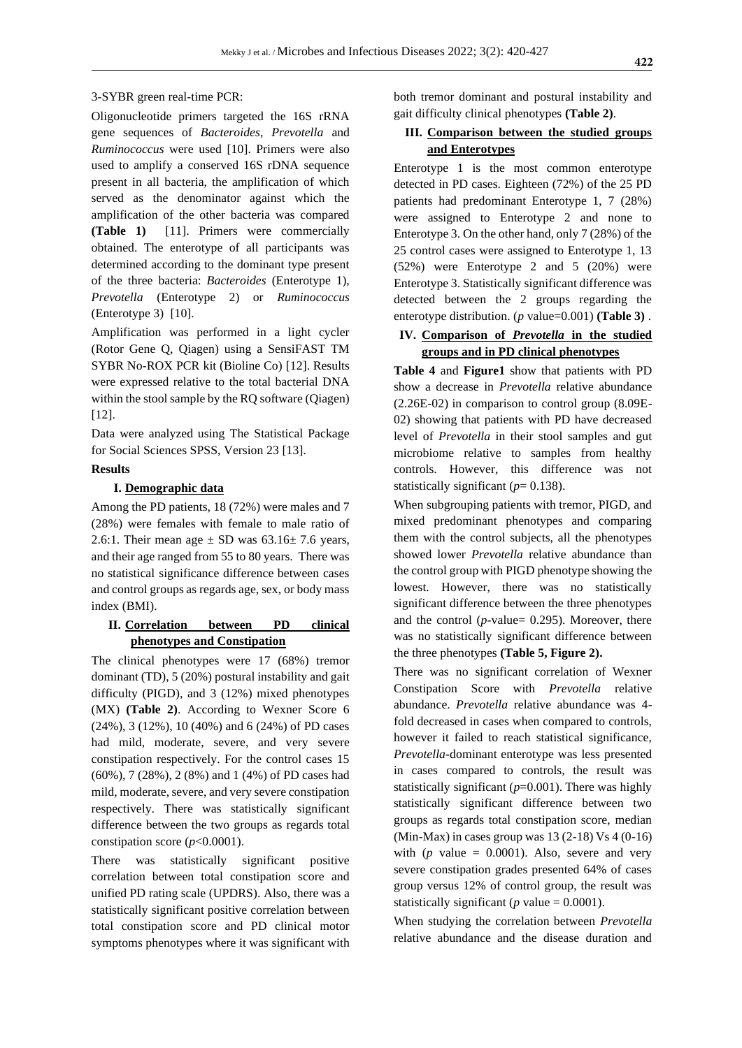#### 3-SYBR green real-time PCR:

Oligonucleotide primers targeted the 16S rRNA gene sequences of *Bacteroides*, *Prevotella* and *Ruminococcus* were used [10]. Primers were also used to amplify a conserved 16S rDNA sequence present in all bacteria, the amplification of which served as the denominator against which the amplification of the other bacteria was compared **(Table 1)** [11]. Primers were commercially obtained. The enterotype of all participants was determined according to the dominant type present of the three bacteria: *Bacteroides* (Enterotype 1), *Prevotella* (Enterotype 2) or *Ruminococcus* (Enterotype 3) [10].

Amplification was performed in a light cycler (Rotor Gene Q, Qiagen) using a SensiFAST TM SYBR No-ROX PCR kit (Bioline Co) [12]. Results were expressed relative to the total bacterial DNA within the stool sample by the RQ software (Qiagen) [12].

Data were analyzed using The Statistical Package for Social Sciences SPSS, Version 23 [13].

### **Results**

#### **I. Demographic data**

Among the PD patients, 18 (72%) were males and 7 (28%) were females with female to male ratio of 2.6:1. Their mean age  $\pm$  SD was 63.16 $\pm$  7.6 years, and their age ranged from 55 to 80 years. There was no statistical significance difference between cases and control groups as regards age, sex, or body mass index (BMI).

### **II. Correlation between PD clinical phenotypes and Constipation**

The clinical phenotypes were 17 (68%) tremor dominant (TD), 5 (20%) postural instability and gait difficulty (PIGD), and 3 (12%) mixed phenotypes (MX) **(Table 2)**. According to Wexner Score 6 (24%), 3 (12%), 10 (40%) and 6 (24%) of PD cases had mild, moderate, severe, and very severe constipation respectively. For the control cases 15 (60%), 7 (28%), 2 (8%) and 1 (4%) of PD cases had mild, moderate, severe, and very severe constipation respectively. There was statistically significant difference between the two groups as regards total constipation score (*p*<0.0001).

There was statistically significant positive correlation between total constipation score and unified PD rating scale (UPDRS). Also, there was a statistically significant positive correlation between total constipation score and PD clinical motor symptoms phenotypes where it was significant with

both tremor dominant and postural instability and gait difficulty clinical phenotypes **(Table 2)**.

# **III. Comparison between the studied groups and Enterotypes**

Enterotype 1 is the most common enterotype detected in PD cases. Eighteen (72%) of the 25 PD patients had predominant Enterotype 1, 7 (28%) were assigned to Enterotype 2 and none to Enterotype 3. On the other hand, only 7 (28%) of the 25 control cases were assigned to Enterotype 1, 13 (52%) were Enterotype 2 and 5 (20%) were Enterotype 3. Statistically significant difference was detected between the 2 groups regarding the enterotype distribution. (*p* value=0.001) **(Table 3)** .

# **IV. Comparison of** *Prevotella* **in the studied groups and in PD clinical phenotypes**

**Table 4** and **Figure1** show that patients with PD show a decrease in *Prevotella* relative abundance (2.26E-02) in comparison to control group (8.09E-02) showing that patients with PD have decreased level of *Prevotella* in their stool samples and gut microbiome relative to samples from healthy controls. However, this difference was not statistically significant ( $p=0.138$ ).

When subgrouping patients with tremor, PIGD, and mixed predominant phenotypes and comparing them with the control subjects, all the phenotypes showed lower *Prevotella* relative abundance than the control group with PIGD phenotype showing the lowest. However, there was no statistically significant difference between the three phenotypes and the control  $(p$ -value= 0.295). Moreover, there was no statistically significant difference between the three phenotypes **(Table 5, Figure 2).**

There was no significant correlation of Wexner Constipation Score with *Prevotella* relative abundance. *Prevotella* relative abundance was 4 fold decreased in cases when compared to controls, however it failed to reach statistical significance, *Prevotella*-dominant enterotype was less presented in cases compared to controls, the result was statistically significant (*p*=0.001). There was highly statistically significant difference between two groups as regards total constipation score, median (Min-Max) in cases group was 13 (2-18) Vs 4 (0-16) with ( $p$  value = 0.0001). Also, severe and very severe constipation grades presented 64% of cases group versus 12% of control group, the result was statistically significant ( $p$  value = 0.0001).

When studying the correlation between *Prevotella* relative abundance and the disease duration and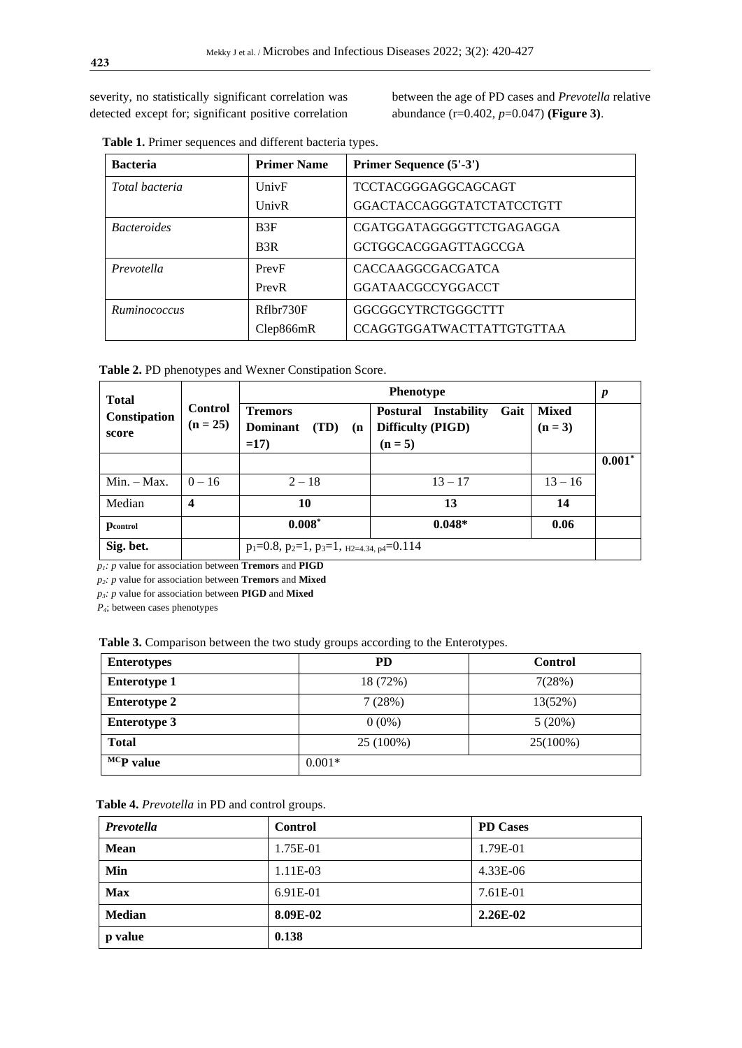severity, no statistically significant correlation was detected except for; significant positive correlation between the age of PD cases and *Prevotella* relative abundance (r=0.402, *p*=0.047) **(Figure 3)**.

| <b>Bacteria</b>                  | <b>Primer Name</b> | Primer Sequence (5'-3')          |
|----------------------------------|--------------------|----------------------------------|
| Total bacteria                   | UnivF              | <b>TCCTACGGGAGGCAGCAGT</b>       |
|                                  | UnivR              | GGACTACCAGGGTATCTATCCTGTT        |
| <i>Bacteroides</i>               | B3F                | CGATGGATAGGGGTTCTGAGAGGA         |
|                                  | B3R                | <b>GCTGGCACGGAGTTAGCCGA</b>      |
| Prevotella                       | PrevF              | CACCAAGGCGACGATCA                |
|                                  | PrevR              | GGATAACGCCYGGACCT                |
| Rflbr730F<br><i>Ruminococcus</i> |                    | GGCGGCYTRCTGGGCTTT               |
|                                  | Clep866mR          | <b>CCAGGTGGATWACTTATTGTGTTAA</b> |

 **Table 1.** Primer sequences and different bacteria types.

 **Table 2.** PD phenotypes and Wexner Constipation Score.

| <b>Total</b>          |                              | <b>Phenotype</b>                                          |                                                                            |                         | $\boldsymbol{p}$ |
|-----------------------|------------------------------|-----------------------------------------------------------|----------------------------------------------------------------------------|-------------------------|------------------|
| Constipation<br>score | <b>Control</b><br>$(n = 25)$ | <b>Tremors</b><br><b>Dominant</b><br>(TD)<br>(n)<br>$=17$ | Gait<br><b>Postural Instability</b><br><b>Difficulty (PIGD)</b><br>$(n=5)$ | <b>Mixed</b><br>$(n=3)$ |                  |
|                       |                              |                                                           |                                                                            |                         | $0.001*$         |
| $Min. - Max.$         | $0 - 16$                     | $2 - 18$                                                  | $13 - 17$                                                                  | $13 - 16$               |                  |
| Median                | $\boldsymbol{4}$             | 10                                                        | 13                                                                         | 14                      |                  |
| <b>P</b> control      |                              | $0.008*$                                                  | $0.048*$                                                                   | 0.06                    |                  |
| Sig. bet.             |                              | $p_1=0.8$ , $p_2=1$ , $p_3=1$ , $p_2=4.34$ , $p_4=0.114$  |                                                                            |                         |                  |

 $p_1$ *: p* value for association between **Tremors** and **PIGD** 

 *p2: p* value for association between **Tremors** and **Mixed**

 *p3: p* value for association between **PIGD** and **Mixed**

*P4*; between cases phenotypes

 **Table 3.** Comparison between the two study groups according to the Enterotypes.

| <b>Enterotypes</b>             | PD        | <b>Control</b> |
|--------------------------------|-----------|----------------|
| <b>Enterotype 1</b>            | 18 (72%)  | 7(28%)         |
| <b>Enterotype 2</b>            | 7(28%)    | 13(52%)        |
| <b>Enterotype 3</b>            | $0(0\%)$  | 5(20%)         |
| <b>Total</b>                   | 25 (100%) | 25(100%)       |
| $\overline{MC}$ <b>P</b> value | $0.001*$  |                |

|  | Table 4. Prevotella in PD and control groups. |  |  |  |
|--|-----------------------------------------------|--|--|--|
|--|-----------------------------------------------|--|--|--|

| Prevotella     | Control    | <b>PD</b> Cases |
|----------------|------------|-----------------|
| <b>Mean</b>    | 1.75E-01   | 1.79E-01        |
| Min            | $1.11E-03$ | 4.33E-06        |
| <b>Max</b>     | 6.91E-01   | 7.61E-01        |
| <b>Median</b>  | 8.09E-02   | $2.26E-02$      |
| <b>p</b> value | 0.138      |                 |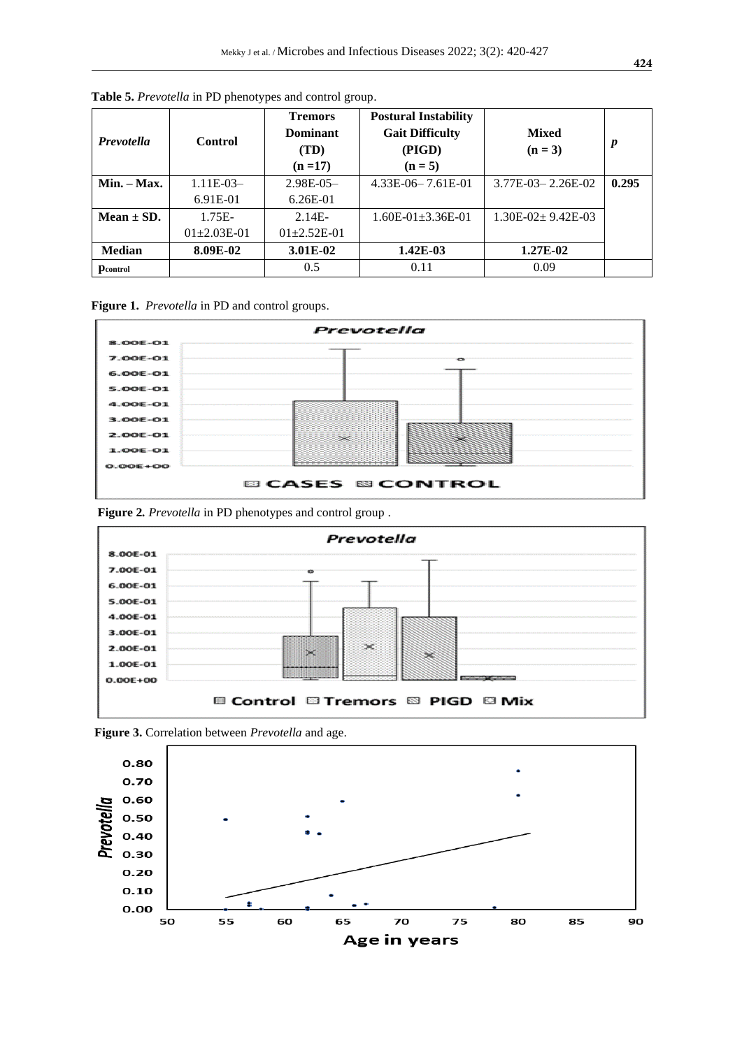| <b>Prevotella</b> | <b>Control</b>  | <b>Tremors</b><br>Dominant<br>(TD)<br>$(n=17)$ | <b>Postural Instability</b><br><b>Gait Difficulty</b><br>(PIGD)<br>$(n=5)$ | <b>Mixed</b><br>$(n=3)$ | p     |
|-------------------|-----------------|------------------------------------------------|----------------------------------------------------------------------------|-------------------------|-------|
| $Min. - Max.$     | $1.11E-03-$     | $2.98E-0.5-$                                   | $4.33E-06-7.61E-01$                                                        | 3.77E-03-2.26E-02       | 0.295 |
|                   | 6.91E-01        | $6.26E-01$                                     |                                                                            |                         |       |
| Mean $\pm$ SD.    | $1.75E-$        | $2.14E -$                                      | $1.60E - 01 + 3.36E - 01$                                                  | $1.30E-02+9.42E-03$     |       |
|                   | $01\pm2.03E-01$ | $01+2.52E-01$                                  |                                                                            |                         |       |
| <b>Median</b>     | 8.09E-02        | 3.01E-02                                       | $1.42E-03$                                                                 | 1.27E-02                |       |
| <b>D</b> control  |                 | 0.5                                            | 0.11                                                                       | 0.09                    |       |

**Table 5.** *Prevotella* in PD phenotypes and control group.

**Figure 1.** *Prevotella* in PD and control groups.



 **Figure 2***. Prevotella* in PD phenotypes and control group .





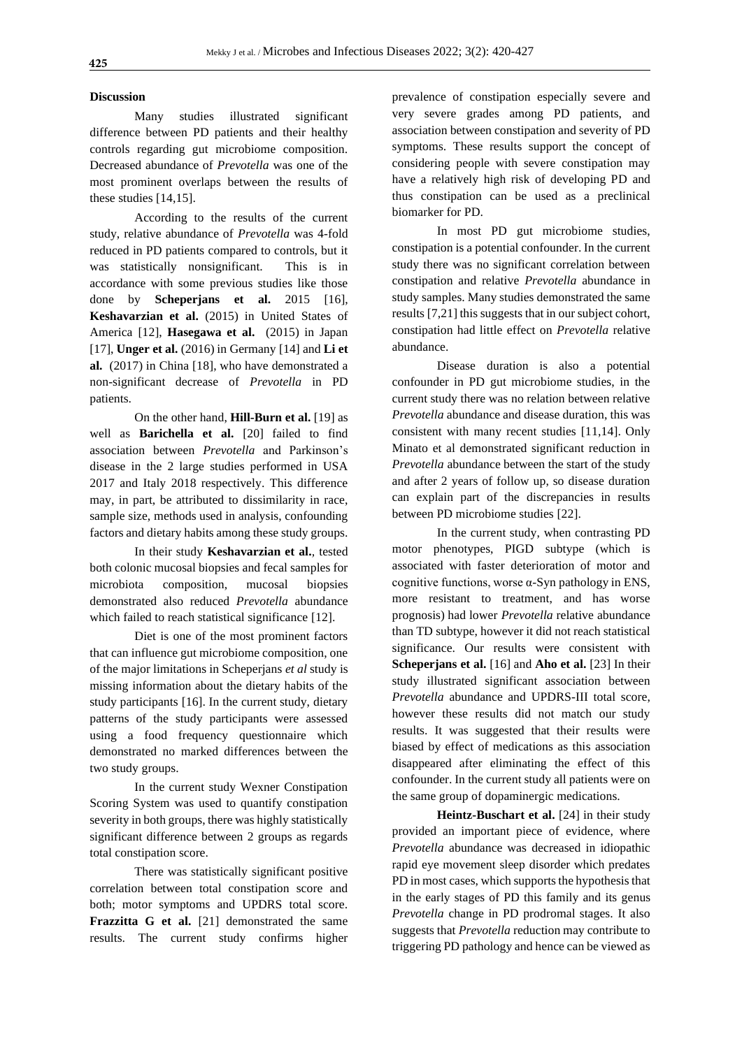#### **Discussion**

Many studies illustrated significant difference between PD patients and their healthy controls regarding gut microbiome composition. Decreased abundance of *Prevotella* was one of the most prominent overlaps between the results of these studies [14,15].

According to the results of the current study, relative abundance of *Prevotella* was 4-fold reduced in PD patients compared to controls, but it was statistically nonsignificant. This is in accordance with some previous studies like those done by **Scheperjans et al.** 2015 [16], **Keshavarzian et al.** (2015) in United States of America [12], **Hasegawa et al.** (2015) in Japan [17], **Unger et al.** (2016) in Germany [14] and **Li et al.** (2017) in China [18], who have demonstrated a non-significant decrease of *Prevotella* in PD patients.

On the other hand, **Hill-Burn et al.** [19] as well as **Barichella et al.** [20] failed to find association between *Prevotella* and Parkinson's disease in the 2 large studies performed in USA 2017 and Italy 2018 respectively. This difference may, in part, be attributed to dissimilarity in race, sample size, methods used in analysis, confounding factors and dietary habits among these study groups.

In their study **Keshavarzian et al.***,* tested both colonic mucosal biopsies and fecal samples for microbiota composition, mucosal biopsies demonstrated also reduced *Prevotella* abundance which failed to reach statistical significance [12].

Diet is one of the most prominent factors that can influence gut microbiome composition, one of the major limitations in Scheperjans *et al* study is missing information about the dietary habits of the study participants [16]. In the current study, dietary patterns of the study participants were assessed using a food frequency questionnaire which demonstrated no marked differences between the two study groups.

In the current study Wexner Constipation Scoring System was used to quantify constipation severity in both groups, there was highly statistically significant difference between 2 groups as regards total constipation score.

There was statistically significant positive correlation between total constipation score and both; motor symptoms and UPDRS total score. **Frazzitta G et al.** [21] demonstrated the same results. The current study confirms higher prevalence of constipation especially severe and very severe grades among PD patients, and association between constipation and severity of PD symptoms. These results support the concept of considering people with severe constipation may have a relatively high risk of developing PD and thus constipation can be used as a preclinical biomarker for PD.

In most PD gut microbiome studies, constipation is a potential confounder. In the current study there was no significant correlation between constipation and relative *Prevotella* abundance in study samples. Many studies demonstrated the same results [7,21] this suggests that in our subject cohort, constipation had little effect on *Prevotella* relative abundance.

Disease duration is also a potential confounder in PD gut microbiome studies, in the current study there was no relation between relative *Prevotella* abundance and disease duration, this was consistent with many recent studies [11,14]. Only Minato et al demonstrated significant reduction in *Prevotella* abundance between the start of the study and after 2 years of follow up, so disease duration can explain part of the discrepancies in results between PD microbiome studies [22].

In the current study, when contrasting PD motor phenotypes, PIGD subtype (which is associated with faster deterioration of motor and cognitive functions, worse  $\alpha$ -Syn pathology in ENS, more resistant to treatment, and has worse prognosis) had lower *Prevotella* relative abundance than TD subtype, however it did not reach statistical significance. Our results were consistent with **Scheperjans et al.** [16] and **Aho et al.** [23] In their study illustrated significant association between *Prevotella* abundance and UPDRS-III total score, however these results did not match our study results. It was suggested that their results were biased by effect of medications as this association disappeared after eliminating the effect of this confounder. In the current study all patients were on the same group of dopaminergic medications.

**Heintz-Buschart et al.** [24] in their study provided an important piece of evidence, where *Prevotella* abundance was decreased in idiopathic rapid eye movement sleep disorder which predates PD in most cases, which supports the hypothesis that in the early stages of PD this family and its genus *Prevotella* change in PD prodromal stages. It also suggests that *Prevotella* reduction may contribute to triggering PD pathology and hence can be viewed as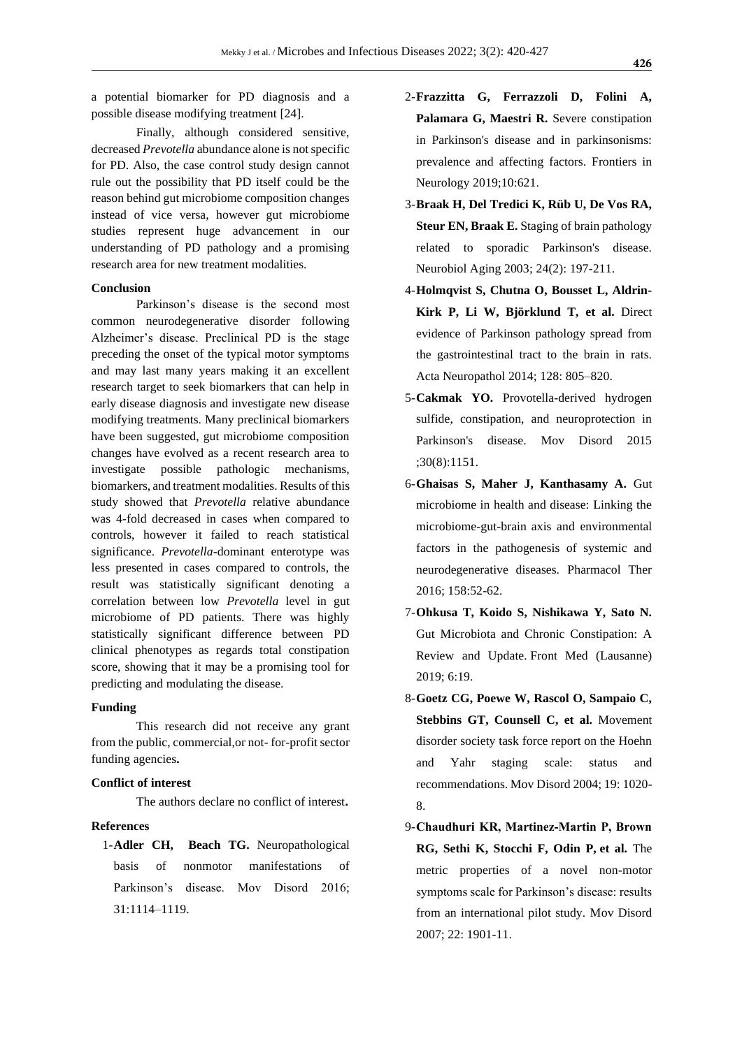a potential biomarker for PD diagnosis and a possible disease modifying treatment [24].

Finally, although considered sensitive, decreased *Prevotella* abundance alone is not specific for PD. Also, the case control study design cannot rule out the possibility that PD itself could be the reason behind gut microbiome composition changes instead of vice versa, however gut microbiome studies represent huge advancement in our understanding of PD pathology and a promising research area for new treatment modalities.

#### **Conclusion**

Parkinson's disease is the second most common neurodegenerative disorder following Alzheimer's disease. Preclinical PD is the stage preceding the onset of the typical motor symptoms and may last many years making it an excellent research target to seek biomarkers that can help in early disease diagnosis and investigate new disease modifying treatments. Many preclinical biomarkers have been suggested, gut microbiome composition changes have evolved as a recent research area to investigate possible pathologic mechanisms, biomarkers, and treatment modalities. Results of this study showed that *Prevotella* relative abundance was 4-fold decreased in cases when compared to controls, however it failed to reach statistical significance. *Prevotella*-dominant enterotype was less presented in cases compared to controls, the result was statistically significant denoting a correlation between low *Prevotella* level in gut microbiome of PD patients. There was highly statistically significant difference between PD clinical phenotypes as regards total constipation score, showing that it may be a promising tool for predicting and modulating the disease.

#### **Funding**

This research did not receive any grant from the public, commercial,or not- for-profit sector funding agencies**.**

### **Conflict of interest**

The authors declare no conflict of interest**.**

### **References**

1-**Adler CH, Beach TG.** Neuropathological basis of nonmotor manifestations of Parkinson's disease. Mov Disord 2016; 31:1114–1119.

- 2-**Frazzitta G, Ferrazzoli D, Folini A, Palamara G, Maestri R.** Severe constipation in Parkinson's disease and in parkinsonisms: prevalence and affecting factors. Frontiers in Neurology 2019;10:621.
- 3-**Braak H, Del Tredici K, Rüb U, De Vos RA, Steur EN, Braak E.** Staging of brain pathology related to sporadic Parkinson's disease. Neurobiol Aging 2003; 24(2): 197-211.
- 4-**Holmqvist S, Chutna O, Bousset L, Aldrin-Kirk P, Li W, Björklund T, et al.** Direct evidence of Parkinson pathology spread from the gastrointestinal tract to the brain in rats. Acta Neuropathol 2014; 128: 805–820.
- 5-**Cakmak YO.** Provotella-derived hydrogen sulfide, constipation, and neuroprotection in Parkinson's disease. Mov Disord 2015 ;30(8):1151.
- 6-**Ghaisas S, Maher J, Kanthasamy A.** Gut microbiome in health and disease: Linking the microbiome-gut-brain axis and environmental factors in the pathogenesis of systemic and neurodegenerative diseases. Pharmacol Ther 2016; 158:52-62.
- 7-**Ohkusa T, Koido S, Nishikawa Y, Sato N.** Gut Microbiota and Chronic Constipation: A Review and Update. Front Med (Lausanne) 2019; 6:19.
- 8-**Goetz CG, Poewe W, Rascol O, Sampaio C, Stebbins GT, Counsell C, et al.** Movement disorder society task force report on the Hoehn and Yahr staging scale: status and recommendations. Mov Disord 2004; 19: 1020- 8.
- 9-**Chaudhuri KR, Martinez‐Martin P, Brown RG, Sethi K, Stocchi F, Odin P, et al.** The metric properties of a novel non-motor symptoms scale for Parkinson's disease: results from an international pilot study. Mov Disord 2007; 22: 1901-11.